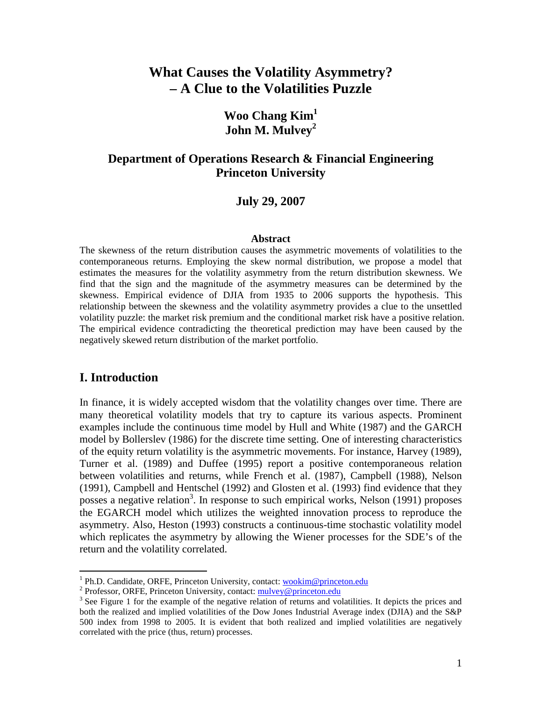# **What Causes the Volatility Asymmetry? – A Clue to the Volatilities Puzzle**

## **Woo Chang Kim<sup>1</sup> John M. Mulvey<sup>2</sup>**

## **Department of Operations Research & Financial Engineering Princeton University**

#### **July 29, 2007**

#### **Abstract**

The skewness of the return distribution causes the asymmetric movements of volatilities to the contemporaneous returns. Employing the skew normal distribution, we propose a model that estimates the measures for the volatility asymmetry from the return distribution skewness. We find that the sign and the magnitude of the asymmetry measures can be determined by the skewness. Empirical evidence of DJIA from 1935 to 2006 supports the hypothesis. This relationship between the skewness and the volatility asymmetry provides a clue to the unsettled volatility puzzle: the market risk premium and the conditional market risk have a positive relation. The empirical evidence contradicting the theoretical prediction may have been caused by the negatively skewed return distribution of the market portfolio.

## **I. Introduction**

-

In finance, it is widely accepted wisdom that the volatility changes over time. There are many theoretical volatility models that try to capture its various aspects. Prominent examples include the continuous time model by Hull and White (1987) and the GARCH model by Bollerslev (1986) for the discrete time setting. One of interesting characteristics of the equity return volatility is the asymmetric movements. For instance, Harvey (1989), Turner et al. (1989) and Duffee (1995) report a positive contemporaneous relation between volatilities and returns, while French et al. (1987), Campbell (1988), Nelson (1991), Campbell and Hentschel (1992) and Glosten et al. (1993) find evidence that they posses a negative relation<sup>3</sup>. In response to such empirical works, Nelson  $(1991)$  proposes the EGARCH model which utilizes the weighted innovation process to reproduce the asymmetry. Also, Heston (1993) constructs a continuous-time stochastic volatility model which replicates the asymmetry by allowing the Wiener processes for the SDE's of the return and the volatility correlated.

<sup>&</sup>lt;sup>1</sup> Ph.D. Candidate, ORFE, Princeton University, contact: wookim@princeton.edu

<sup>&</sup>lt;sup>2</sup> Professor, ORFE, Princeton University, contact: mulvey@princeton.edu

<sup>&</sup>lt;sup>3</sup> See Figure 1 for the example of the negative relation of returns and volatilities. It depicts the prices and both the realized and implied volatilities of the Dow Jones Industrial Average index (DJIA) and the S&P 500 index from 1998 to 2005. It is evident that both realized and implied volatilities are negatively correlated with the price (thus, return) processes.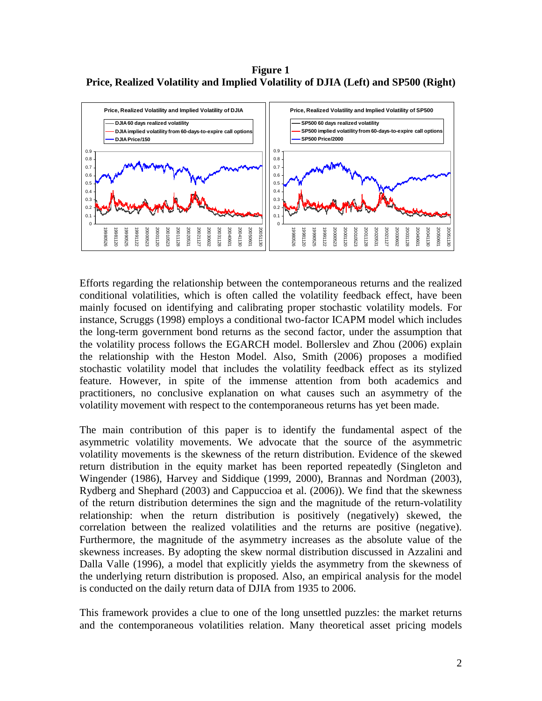**Figure 1 Price, Realized Volatility and Implied Volatility of DJIA (Left) and SP500 (Right)** 



Efforts regarding the relationship between the contemporaneous returns and the realized conditional volatilities, which is often called the volatility feedback effect, have been mainly focused on identifying and calibrating proper stochastic volatility models. For instance, Scruggs (1998) employs a conditional two-factor ICAPM model which includes the long-term government bond returns as the second factor, under the assumption that the volatility process follows the EGARCH model. Bollerslev and Zhou (2006) explain the relationship with the Heston Model. Also, Smith (2006) proposes a modified stochastic volatility model that includes the volatility feedback effect as its stylized feature. However, in spite of the immense attention from both academics and practitioners, no conclusive explanation on what causes such an asymmetry of the volatility movement with respect to the contemporaneous returns has yet been made.

The main contribution of this paper is to identify the fundamental aspect of the asymmetric volatility movements. We advocate that the source of the asymmetric volatility movements is the skewness of the return distribution. Evidence of the skewed return distribution in the equity market has been reported repeatedly (Singleton and Wingender (1986), Harvey and Siddique (1999, 2000), Brannas and Nordman (2003), Rydberg and Shephard (2003) and Cappuccioa et al. (2006)). We find that the skewness of the return distribution determines the sign and the magnitude of the return-volatility relationship: when the return distribution is positively (negatively) skewed, the correlation between the realized volatilities and the returns are positive (negative). Furthermore, the magnitude of the asymmetry increases as the absolute value of the skewness increases. By adopting the skew normal distribution discussed in Azzalini and Dalla Valle (1996), a model that explicitly yields the asymmetry from the skewness of the underlying return distribution is proposed. Also, an empirical analysis for the model is conducted on the daily return data of DJIA from 1935 to 2006.

This framework provides a clue to one of the long unsettled puzzles: the market returns and the contemporaneous volatilities relation. Many theoretical asset pricing models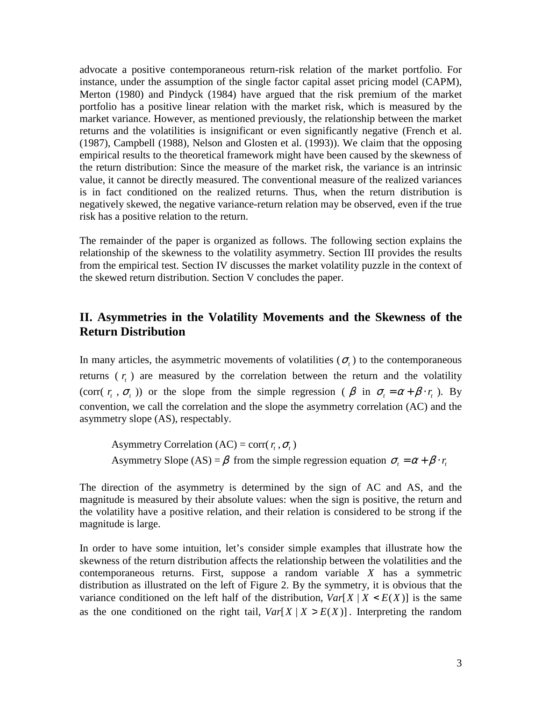advocate a positive contemporaneous return-risk relation of the market portfolio. For instance, under the assumption of the single factor capital asset pricing model (CAPM), Merton (1980) and Pindyck (1984) have argued that the risk premium of the market portfolio has a positive linear relation with the market risk, which is measured by the market variance. However, as mentioned previously, the relationship between the market returns and the volatilities is insignificant or even significantly negative (French et al. (1987), Campbell (1988), Nelson and Glosten et al. (1993)). We claim that the opposing empirical results to the theoretical framework might have been caused by the skewness of the return distribution: Since the measure of the market risk, the variance is an intrinsic value, it cannot be directly measured. The conventional measure of the realized variances is in fact conditioned on the realized returns. Thus, when the return distribution is negatively skewed, the negative variance-return relation may be observed, even if the true risk has a positive relation to the return.

The remainder of the paper is organized as follows. The following section explains the relationship of the skewness to the volatility asymmetry. Section III provides the results from the empirical test. Section IV discusses the market volatility puzzle in the context of the skewed return distribution. Section V concludes the paper.

## **II. Asymmetries in the Volatility Movements and the Skewness of the Return Distribution**

In many articles, the asymmetric movements of volatilities  $(\sigma_t)$  to the contemporaneous returns  $(r<sub>t</sub>)$  are measured by the correlation between the return and the volatility (corr(  $r_t$ ,  $\sigma_t$ )) or the slope from the simple regression ( $\beta$  in  $\sigma_t = \alpha + \beta \cdot r_t$ ). By convention, we call the correlation and the slope the asymmetry correlation (AC) and the asymmetry slope (AS), respectably.

Asymmetry Correlation (AC) = corr( $r_t$ , $\sigma_t$ ) Asymmetry Slope (AS) =  $\beta$  from the simple regression equation  $\sigma_t = \alpha + \beta \cdot r_t$ 

The direction of the asymmetry is determined by the sign of AC and AS, and the magnitude is measured by their absolute values: when the sign is positive, the return and the volatility have a positive relation, and their relation is considered to be strong if the magnitude is large.

In order to have some intuition, let's consider simple examples that illustrate how the skewness of the return distribution affects the relationship between the volatilities and the contemporaneous returns. First, suppose a random variable *X* has a symmetric distribution as illustrated on the left of Figure 2. By the symmetry, it is obvious that the variance conditioned on the left half of the distribution,  $Var[X|X \le E(X)]$  is the same as the one conditioned on the right tail,  $Var[X | X > E(X)]$ . Interpreting the random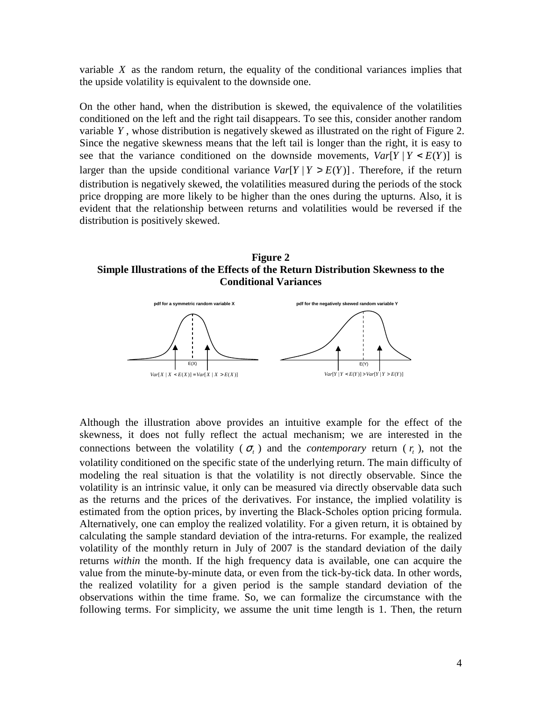variable *X* as the random return, the equality of the conditional variances implies that the upside volatility is equivalent to the downside one.

On the other hand, when the distribution is skewed, the equivalence of the volatilities conditioned on the left and the right tail disappears. To see this, consider another random variable *Y* , whose distribution is negatively skewed as illustrated on the right of Figure 2. Since the negative skewness means that the left tail is longer than the right, it is easy to see that the variance conditioned on the downside movements,  $Var[Y | Y < E(Y)]$  is larger than the upside conditional variance  $Var[Y | Y > E(Y)]$ . Therefore, if the return distribution is negatively skewed, the volatilities measured during the periods of the stock price dropping are more likely to be higher than the ones during the upturns. Also, it is evident that the relationship between returns and volatilities would be reversed if the distribution is positively skewed.

**Figure 2 Simple Illustrations of the Effects of the Return Distribution Skewness to the Conditional Variances** 



Although the illustration above provides an intuitive example for the effect of the skewness, it does not fully reflect the actual mechanism; we are interested in the connections between the volatility ( $\sigma$ <sub>*t*</sub>) and the *contemporary* return ( $r$ <sub>*t*</sub>), not the volatility conditioned on the specific state of the underlying return. The main difficulty of modeling the real situation is that the volatility is not directly observable. Since the volatility is an intrinsic value, it only can be measured via directly observable data such as the returns and the prices of the derivatives. For instance, the implied volatility is estimated from the option prices, by inverting the Black-Scholes option pricing formula. Alternatively, one can employ the realized volatility. For a given return, it is obtained by calculating the sample standard deviation of the intra-returns. For example, the realized volatility of the monthly return in July of 2007 is the standard deviation of the daily returns *within* the month. If the high frequency data is available, one can acquire the value from the minute-by-minute data, or even from the tick-by-tick data. In other words, the realized volatility for a given period is the sample standard deviation of the observations within the time frame. So, we can formalize the circumstance with the following terms. For simplicity, we assume the unit time length is 1. Then, the return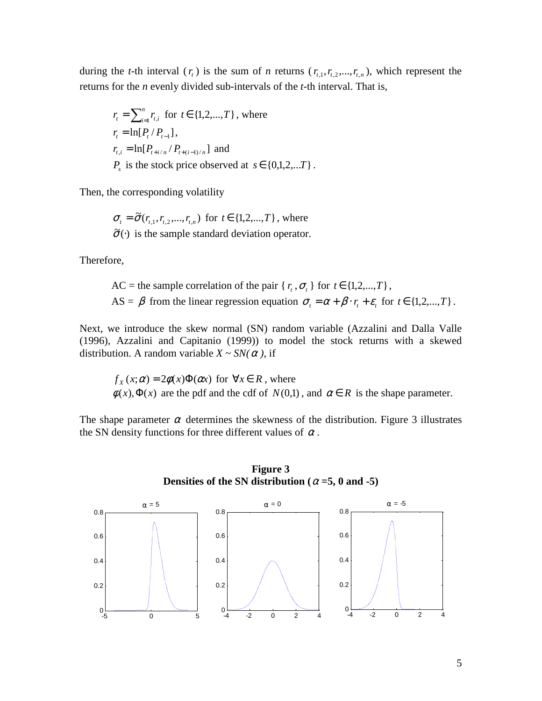during the *t*-th interval  $(r_t)$  is the sum of *n* returns  $(r_{t,1}, r_{t,2}, \ldots, r_{t,n})$ , which represent the returns for the *n* evenly divided sub-intervals of the *t*-th interval. That is,

$$
r_{t} = \sum_{i=1}^{n} r_{t,i} \text{ for } t \in \{1, 2, ..., T\}, \text{ where}
$$
  
\n
$$
r_{t} = \ln[P_{t}/P_{t-1}],
$$
  
\n
$$
r_{t,i} = \ln[P_{t+i/n} / P_{t+(i-1)/n}] \text{ and}
$$
  
\n
$$
P_{s} \text{ is the stock price observed at } s \in \{0, 1, 2, ... T\}.
$$

Then, the corresponding volatility

$$
\sigma_{t} = \tilde{\sigma}(r_{t,1}, r_{t,2}, \dots, r_{t,n})
$$
 for  $t \in \{1, 2, \dots, T\}$ , where  $\tilde{\sigma}(\cdot)$  is the sample standard deviation operator.

Therefore,

AC = the sample correlation of the pair { $r_t$ ,  $\sigma_t$ } for  $t \in \{1, 2, ..., T\}$ , AS =  $\beta$  from the linear regression equation  $\sigma_t = \alpha + \beta \cdot r_t + \varepsilon_t$  for  $t \in \{1, 2, ..., T\}$ .

Next, we introduce the skew normal (SN) random variable (Azzalini and Dalla Valle (1996), Azzalini and Capitanio (1999)) to model the stock returns with a skewed distribution. A random variable  $X \sim SN(\alpha)$ , if

 $f_x(x; \alpha) = 2\phi(x)\Phi(\alpha x)$  for  $\forall x \in R$ , where  $\phi(x), \Phi(x)$  are the pdf and the cdf of  $N(0,1)$ , and  $\alpha \in R$  is the shape parameter.

The shape parameter  $\alpha$  determines the skewness of the distribution. Figure 3 illustrates the SN density functions for three different values of  $\alpha$ .



**Figure 3 Densities of the SN distribution (** $\alpha = 5$ **, 0 and -5)**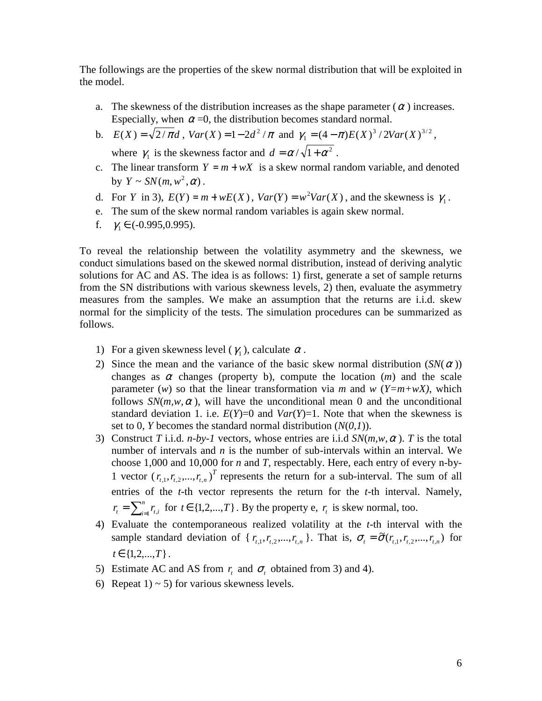The followings are the properties of the skew normal distribution that will be exploited in the model.

- a. The skewness of the distribution increases as the shape parameter  $(\alpha)$  increases. Especially, when  $\alpha = 0$ , the distribution becomes standard normal.
- b.  $E(X) = \sqrt{2/\pi d}$ ,  $Var(X) = 1 2d^2/\pi$  and  $\gamma_1 = (4 \pi)E(X)^3/2Var(X)^{3/2}$ , where  $\gamma_1$  is the skewness factor and  $d = \alpha / \sqrt{1 + \alpha^2}$ .
- c. The linear transform  $Y = m + wX$  is a skew normal random variable, and denoted by  $Y \sim SN(m, w^2, \alpha)$ .
- d. For *Y* in 3),  $E(Y) = m + wE(X)$ ,  $Var(Y) = w^2Var(X)$ , and the skewness is  $\gamma_1$ .
- e. The sum of the skew normal random variables is again skew normal.
- f.  $\gamma_1 \in (-0.995, 0.995)$ .

To reveal the relationship between the volatility asymmetry and the skewness, we conduct simulations based on the skewed normal distribution, instead of deriving analytic solutions for AC and AS. The idea is as follows: 1) first, generate a set of sample returns from the SN distributions with various skewness levels, 2) then, evaluate the asymmetry measures from the samples. We make an assumption that the returns are i.i.d. skew normal for the simplicity of the tests. The simulation procedures can be summarized as follows.

- 1) For a given skewness level  $(\gamma_1)$ , calculate  $\alpha$ .
- 2) Since the mean and the variance of the basic skew normal distribution  $(SN(\alpha))$ changes as  $\alpha$  changes (property b), compute the location  $(m)$  and the scale parameter (*w*) so that the linear transformation via *m* and *w* ( $Y=m+wX$ ), which follows  $SN(m, w, \alpha)$ , will have the unconditional mean 0 and the unconditional standard deviation 1. i.e.  $E(Y)=0$  and  $Var(Y)=1$ . Note that when the skewness is set to 0, *Y* becomes the standard normal distribution (*N*(*0,1*)).
- 3) Construct *T* i.i.d. *n-by-1* vectors, whose entries are i.i.d  $SN(m, w, \alpha)$ . *T* is the total number of intervals and *n* is the number of sub-intervals within an interval. We choose 1,000 and 10,000 for *n* and *T*, respectably. Here, each entry of every n-by-1 vector  $(r_{t,1}, r_{t,2},..., r_{t,n})^T$  represents the return for a sub-interval. The sum of all entries of the *t*-th vector represents the return for the *t*-th interval. Namely,  $=\sum_{i=1}^n$  $r_t = \sum_{i=1}^n r_{t,i}$  for  $t \in \{1, 2, ..., T\}$ . By the property e,  $r_t$  is skew normal, too.
- 4) Evaluate the contemporaneous realized volatility at the *t*-th interval with the sample standard deviation of {  $r_{t,1}$ ,  $r_{t,2}$ , ...,  $r_{t,n}$ }. That is,  $\sigma_t = \tilde{\sigma}(r_{t,1}, r_{t,2}, \dots, r_{t,n})$  for  $t \in \{1, 2, ..., T\}$ .
- 5) Estimate AC and AS from  $r_t$  and  $\sigma_t$  obtained from 3) and 4).
- 6) Repeat  $1 \geq 5$  for various skewness levels.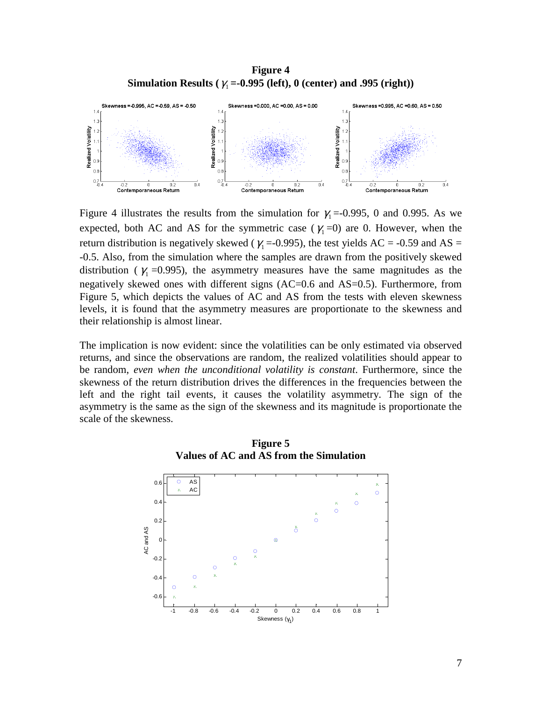**Figure 4 Simulation Results (** $\gamma_1$  **=-0.995 (left), 0 (center) and .995 (right))** 



Figure 4 illustrates the results from the simulation for  $\gamma_1 = -0.995$ , 0 and 0.995. As we expected, both AC and AS for the symmetric case ( $\gamma_1$ =0) are 0. However, when the return distribution is negatively skewed ( $\gamma_1$  =-0.995), the test yields AC = -0.59 and AS = -0.5. Also, from the simulation where the samples are drawn from the positively skewed distribution ( $\gamma_1$  =0.995), the asymmetry measures have the same magnitudes as the negatively skewed ones with different signs (AC=0.6 and AS=0.5). Furthermore, from Figure 5, which depicts the values of AC and AS from the tests with eleven skewness levels, it is found that the asymmetry measures are proportionate to the skewness and their relationship is almost linear.

The implication is now evident: since the volatilities can be only estimated via observed returns, and since the observations are random, the realized volatilities should appear to be random, *even when the unconditional volatility is constant*. Furthermore, since the skewness of the return distribution drives the differences in the frequencies between the left and the right tail events, it causes the volatility asymmetry. The sign of the asymmetry is the same as the sign of the skewness and its magnitude is proportionate the scale of the skewness.



**Figure 5 Values of AC and AS from the Simulation**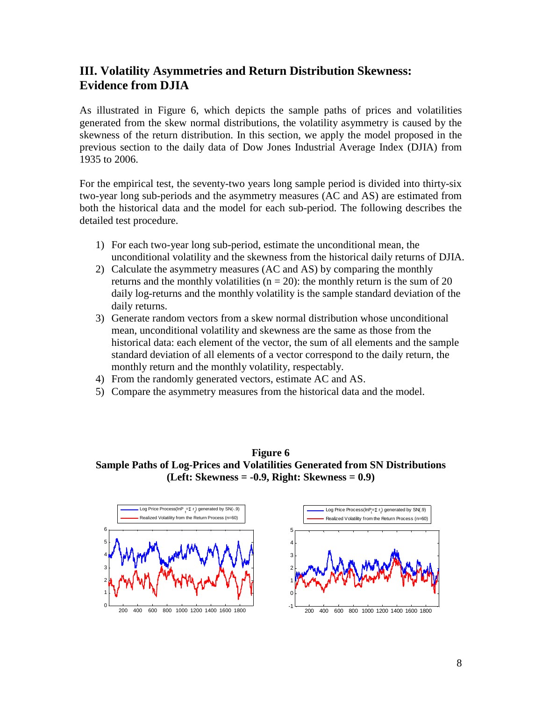# **III. Volatility Asymmetries and Return Distribution Skewness: Evidence from DJIA**

As illustrated in Figure 6, which depicts the sample paths of prices and volatilities generated from the skew normal distributions, the volatility asymmetry is caused by the skewness of the return distribution. In this section, we apply the model proposed in the previous section to the daily data of Dow Jones Industrial Average Index (DJIA) from 1935 to 2006.

For the empirical test, the seventy-two years long sample period is divided into thirty-six two-year long sub-periods and the asymmetry measures (AC and AS) are estimated from both the historical data and the model for each sub-period. The following describes the detailed test procedure.

- 1) For each two-year long sub-period, estimate the unconditional mean, the unconditional volatility and the skewness from the historical daily returns of DJIA.
- 2) Calculate the asymmetry measures (AC and AS) by comparing the monthly returns and the monthly volatilities ( $n = 20$ ): the monthly return is the sum of 20 daily log-returns and the monthly volatility is the sample standard deviation of the daily returns.
- 3) Generate random vectors from a skew normal distribution whose unconditional mean, unconditional volatility and skewness are the same as those from the historical data: each element of the vector, the sum of all elements and the sample standard deviation of all elements of a vector correspond to the daily return, the monthly return and the monthly volatility, respectably.
- 4) From the randomly generated vectors, estimate AC and AS.
- 5) Compare the asymmetry measures from the historical data and the model.

**Figure 6 Sample Paths of Log-Prices and Volatilities Generated from SN Distributions (Left: Skewness = -0.9, Right: Skewness = 0.9)** 

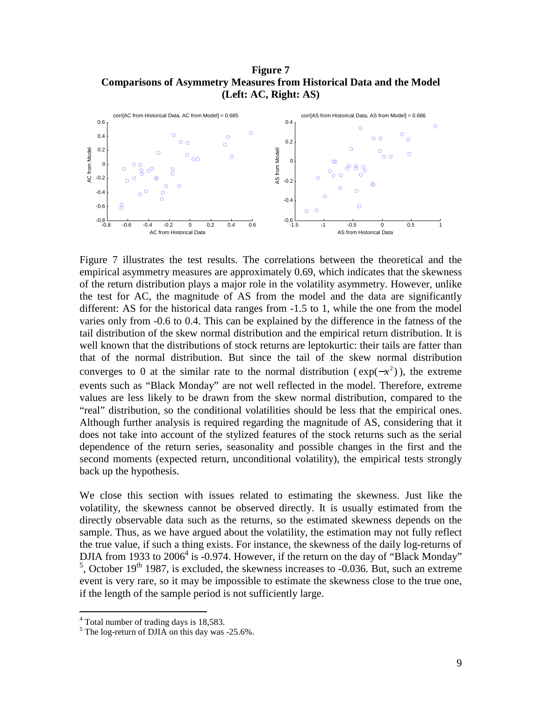#### **Figure 7 Comparisons of Asymmetry Measures from Historical Data and the Model (Left: AC, Right: AS)**



Figure 7 illustrates the test results. The correlations between the theoretical and the empirical asymmetry measures are approximately 0.69, which indicates that the skewness of the return distribution plays a major role in the volatility asymmetry. However, unlike the test for AC, the magnitude of AS from the model and the data are significantly different: AS for the historical data ranges from -1.5 to 1, while the one from the model varies only from -0.6 to 0.4. This can be explained by the difference in the fatness of the tail distribution of the skew normal distribution and the empirical return distribution. It is well known that the distributions of stock returns are leptokurtic: their tails are fatter than that of the normal distribution. But since the tail of the skew normal distribution converges to 0 at the similar rate to the normal distribution ( $exp(-x^2)$ ), the extreme events such as "Black Monday" are not well reflected in the model. Therefore, extreme values are less likely to be drawn from the skew normal distribution, compared to the "real" distribution, so the conditional volatilities should be less that the empirical ones. Although further analysis is required regarding the magnitude of AS, considering that it does not take into account of the stylized features of the stock returns such as the serial dependence of the return series, seasonality and possible changes in the first and the second moments (expected return, unconditional volatility), the empirical tests strongly back up the hypothesis.

We close this section with issues related to estimating the skewness. Just like the volatility, the skewness cannot be observed directly. It is usually estimated from the directly observable data such as the returns, so the estimated skewness depends on the sample. Thus, as we have argued about the volatility, the estimation may not fully reflect the true value, if such a thing exists. For instance, the skewness of the daily log-returns of DJIA from 1933 to  $2006^4$  is -0.974. However, if the return on the day of "Black Monday"  $5$ , October 19<sup>th</sup> 1987, is excluded, the skewness increases to -0.036. But, such an extreme event is very rare, so it may be impossible to estimate the skewness close to the true one, if the length of the sample period is not sufficiently large.

 4 Total number of trading days is 18,583.

<sup>&</sup>lt;sup>5</sup> The log-return of DJIA on this day was -25.6%.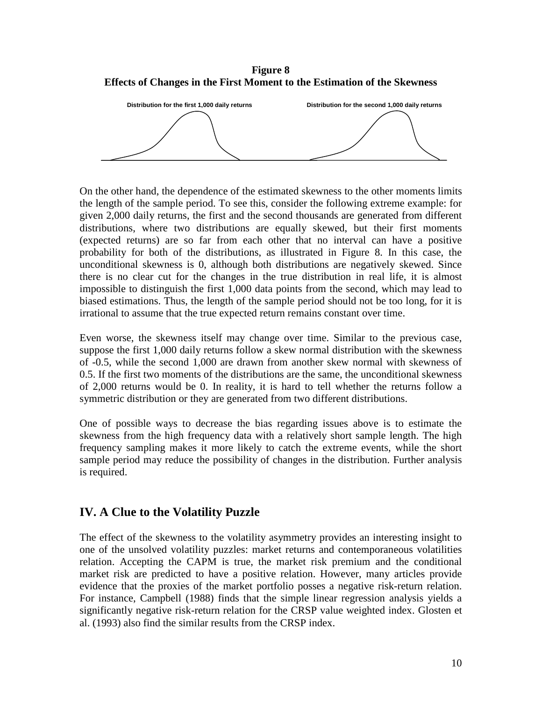**Figure 8 Effects of Changes in the First Moment to the Estimation of the Skewness** 



On the other hand, the dependence of the estimated skewness to the other moments limits the length of the sample period. To see this, consider the following extreme example: for given 2,000 daily returns, the first and the second thousands are generated from different distributions, where two distributions are equally skewed, but their first moments (expected returns) are so far from each other that no interval can have a positive probability for both of the distributions, as illustrated in Figure 8. In this case, the unconditional skewness is 0, although both distributions are negatively skewed. Since there is no clear cut for the changes in the true distribution in real life, it is almost impossible to distinguish the first 1,000 data points from the second, which may lead to biased estimations. Thus, the length of the sample period should not be too long, for it is irrational to assume that the true expected return remains constant over time.

Even worse, the skewness itself may change over time. Similar to the previous case, suppose the first 1,000 daily returns follow a skew normal distribution with the skewness of -0.5, while the second 1,000 are drawn from another skew normal with skewness of 0.5. If the first two moments of the distributions are the same, the unconditional skewness of 2,000 returns would be 0. In reality, it is hard to tell whether the returns follow a symmetric distribution or they are generated from two different distributions.

One of possible ways to decrease the bias regarding issues above is to estimate the skewness from the high frequency data with a relatively short sample length. The high frequency sampling makes it more likely to catch the extreme events, while the short sample period may reduce the possibility of changes in the distribution. Further analysis is required.

## **IV. A Clue to the Volatility Puzzle**

The effect of the skewness to the volatility asymmetry provides an interesting insight to one of the unsolved volatility puzzles: market returns and contemporaneous volatilities relation. Accepting the CAPM is true, the market risk premium and the conditional market risk are predicted to have a positive relation. However, many articles provide evidence that the proxies of the market portfolio posses a negative risk-return relation. For instance, Campbell (1988) finds that the simple linear regression analysis yields a significantly negative risk-return relation for the CRSP value weighted index. Glosten et al. (1993) also find the similar results from the CRSP index.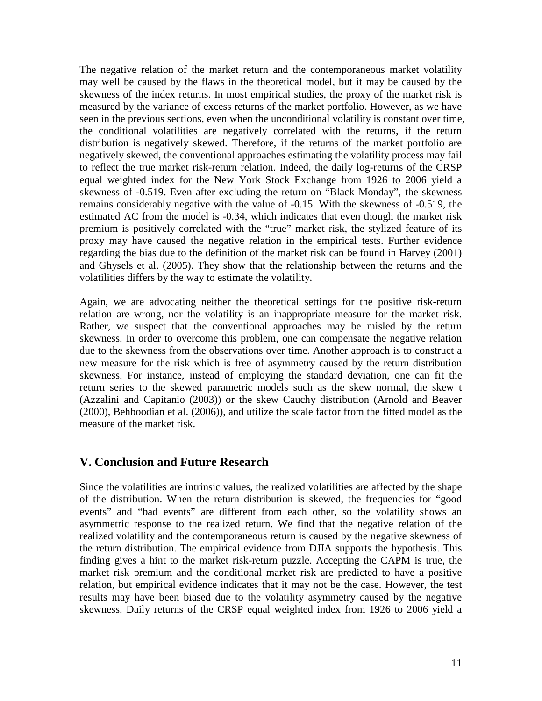The negative relation of the market return and the contemporaneous market volatility may well be caused by the flaws in the theoretical model, but it may be caused by the skewness of the index returns. In most empirical studies, the proxy of the market risk is measured by the variance of excess returns of the market portfolio. However, as we have seen in the previous sections, even when the unconditional volatility is constant over time, the conditional volatilities are negatively correlated with the returns, if the return distribution is negatively skewed. Therefore, if the returns of the market portfolio are negatively skewed, the conventional approaches estimating the volatility process may fail to reflect the true market risk-return relation. Indeed, the daily log-returns of the CRSP equal weighted index for the New York Stock Exchange from 1926 to 2006 yield a skewness of -0.519. Even after excluding the return on "Black Monday", the skewness remains considerably negative with the value of -0.15. With the skewness of -0.519, the estimated AC from the model is -0.34, which indicates that even though the market risk premium is positively correlated with the "true" market risk, the stylized feature of its proxy may have caused the negative relation in the empirical tests. Further evidence regarding the bias due to the definition of the market risk can be found in Harvey (2001) and Ghysels et al. (2005). They show that the relationship between the returns and the volatilities differs by the way to estimate the volatility.

Again, we are advocating neither the theoretical settings for the positive risk-return relation are wrong, nor the volatility is an inappropriate measure for the market risk. Rather, we suspect that the conventional approaches may be misled by the return skewness. In order to overcome this problem, one can compensate the negative relation due to the skewness from the observations over time. Another approach is to construct a new measure for the risk which is free of asymmetry caused by the return distribution skewness. For instance, instead of employing the standard deviation, one can fit the return series to the skewed parametric models such as the skew normal, the skew t (Azzalini and Capitanio (2003)) or the skew Cauchy distribution (Arnold and Beaver (2000), Behboodian et al. (2006)), and utilize the scale factor from the fitted model as the measure of the market risk.

## **V. Conclusion and Future Research**

Since the volatilities are intrinsic values, the realized volatilities are affected by the shape of the distribution. When the return distribution is skewed, the frequencies for "good events" and "bad events" are different from each other, so the volatility shows an asymmetric response to the realized return. We find that the negative relation of the realized volatility and the contemporaneous return is caused by the negative skewness of the return distribution. The empirical evidence from DJIA supports the hypothesis. This finding gives a hint to the market risk-return puzzle. Accepting the CAPM is true, the market risk premium and the conditional market risk are predicted to have a positive relation, but empirical evidence indicates that it may not be the case. However, the test results may have been biased due to the volatility asymmetry caused by the negative skewness. Daily returns of the CRSP equal weighted index from 1926 to 2006 yield a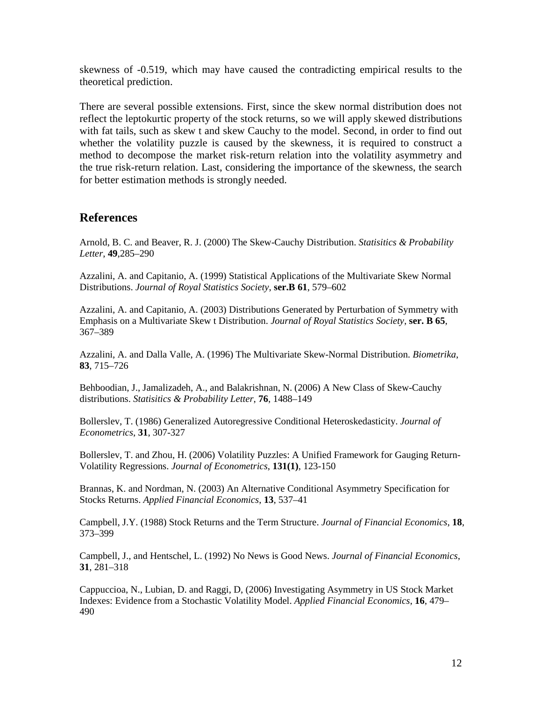skewness of -0.519, which may have caused the contradicting empirical results to the theoretical prediction.

There are several possible extensions. First, since the skew normal distribution does not reflect the leptokurtic property of the stock returns, so we will apply skewed distributions with fat tails, such as skew t and skew Cauchy to the model. Second, in order to find out whether the volatility puzzle is caused by the skewness, it is required to construct a method to decompose the market risk-return relation into the volatility asymmetry and the true risk-return relation. Last, considering the importance of the skewness, the search for better estimation methods is strongly needed.

#### **References**

Arnold, B. C. and Beaver, R. J. (2000) The Skew-Cauchy Distribution. *Statisitics & Probability Letter*, **49**,285–290

Azzalini, A. and Capitanio, A. (1999) Statistical Applications of the Multivariate Skew Normal Distributions. *Journal of Royal Statistics Society*, **ser.B 61**, 579–602

Azzalini, A. and Capitanio, A. (2003) Distributions Generated by Perturbation of Symmetry with Emphasis on a Multivariate Skew t Distribution. *Journal of Royal Statistics Society*, **ser. B 65**, 367–389

Azzalini, A. and Dalla Valle, A. (1996) The Multivariate Skew-Normal Distribution. *Biometrika*, **83**, 715–726

Behboodian, J., Jamalizadeh, A., and Balakrishnan, N. (2006) A New Class of Skew-Cauchy distributions. *Statisitics & Probability Letter*, **76**, 1488–149

Bollerslev, T. (1986) Generalized Autoregressive Conditional Heteroskedasticity. *Journal of Econometrics*, **31**, 307-327

Bollerslev, T. and Zhou, H. (2006) Volatility Puzzles: A Unified Framework for Gauging Return-Volatility Regressions. *Journal of Econometrics*, **131(1)**, 123-150

Brannas, K. and Nordman, N. (2003) An Alternative Conditional Asymmetry Specification for Stocks Returns. *Applied Financial Economics*, **13**, 537–41

Campbell, J.Y. (1988) Stock Returns and the Term Structure. *Journal of Financial Economics*, **18**, 373–399

Campbell, J., and Hentschel, L. (1992) No News is Good News. *Journal of Financial Economics*, **31**, 281–318

Cappuccioa, N., Lubian, D. and Raggi, D, (2006) Investigating Asymmetry in US Stock Market Indexes: Evidence from a Stochastic Volatility Model. *Applied Financial Economics*, **16**, 479– 490